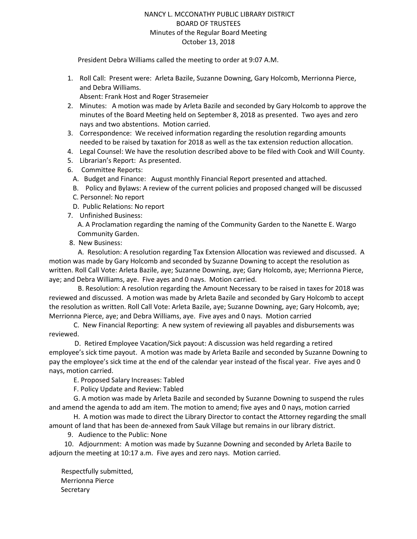## NANCY L. MCCONATHY PUBLIC LIBRARY DISTRICT BOARD OF TRUSTEES Minutes of the Regular Board Meeting October 13, 2018

President Debra Williams called the meeting to order at 9:07 A.M.

- 1. Roll Call: Present were: Arleta Bazile, Suzanne Downing, Gary Holcomb, Merrionna Pierce, and Debra Williams. Absent: Frank Host and Roger Strasemeier
- 2. Minutes: A motion was made by Arleta Bazile and seconded by Gary Holcomb to approve the minutes of the Board Meeting held on September 8, 2018 as presented. Two ayes and zero nays and two abstentions. Motion carried.
- 3. Correspondence: We received information regarding the resolution regarding amounts needed to be raised by taxation for 2018 as well as the tax extension reduction allocation.
- 4. Legal Counsel: We have the resolution described above to be filed with Cook and Will County.
- 5. Librarian's Report: As presented.
- 6. Committee Reports:
	- A. Budget and Finance: August monthly Financial Report presented and attached.
	- B. Policy and Bylaws: A review of the current policies and proposed changed will be discussed
	- C. Personnel: No report
	- D. Public Relations: No report
- 7. Unfinished Business:

A. A Proclamation regarding the naming of the Community Garden to the Nanette E. Wargo Community Garden.

8. New Business:

 A. Resolution: A resolution regarding Tax Extension Allocation was reviewed and discussed. A motion was made by Gary Holcomb and seconded by Suzanne Downing to accept the resolution as written. Roll Call Vote: Arleta Bazile, aye; Suzanne Downing, aye; Gary Holcomb, aye; Merrionna Pierce, aye; and Debra Williams, aye. Five ayes and 0 nays. Motion carried.

 B. Resolution: A resolution regarding the Amount Necessary to be raised in taxes for 2018 was reviewed and discussed. A motion was made by Arleta Bazile and seconded by Gary Holcomb to accept the resolution as written. Roll Call Vote: Arleta Bazile, aye; Suzanne Downing, aye; Gary Holcomb, aye; Merrionna Pierce, aye; and Debra Williams, aye. Five ayes and 0 nays. Motion carried

C. New Financial Reporting: A new system of reviewing all payables and disbursements was reviewed.

 D. Retired Employee Vacation/Sick payout: A discussion was held regarding a retired employee's sick time payout. A motion was made by Arleta Bazile and seconded by Suzanne Downing to pay the employee's sick time at the end of the calendar year instead of the fiscal year. Five ayes and 0 nays, motion carried.

E. Proposed Salary Increases: Tabled

F. Policy Update and Review: Tabled

G. A motion was made by Arleta Bazile and seconded by Suzanne Downing to suspend the rules and amend the agenda to add am item. The motion to amend; five ayes and 0 nays, motion carried

H. A motion was made to direct the Library Director to contact the Attorney regarding the small amount of land that has been de-annexed from Sauk Village but remains in our library district.

9. Audience to the Public: None

 10. Adjournment: A motion was made by Suzanne Downing and seconded by Arleta Bazile to adjourn the meeting at 10:17 a.m. Five ayes and zero nays. Motion carried.

Respectfully submitted, Merrionna Pierce **Secretary**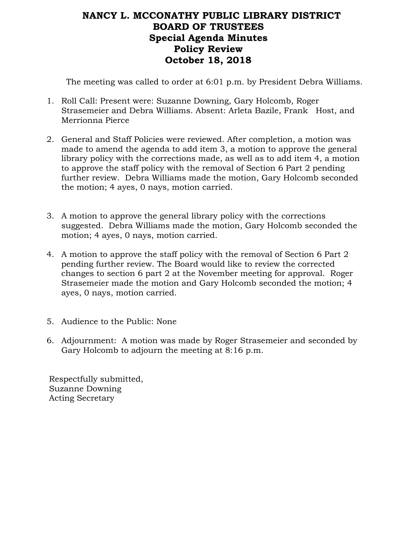## **NANCY L. MCCONATHY PUBLIC LIBRARY DISTRICT BOARD OF TRUSTEES Special Agenda Minutes Policy Review October 18, 2018**

The meeting was called to order at 6:01 p.m. by President Debra Williams.

- 1. Roll Call: Present were: Suzanne Downing, Gary Holcomb, Roger Strasemeier and Debra Williams. Absent: Arleta Bazile, Frank Host, and Merrionna Pierce
- 2. General and Staff Policies were reviewed. After completion, a motion was made to amend the agenda to add item 3, a motion to approve the general library policy with the corrections made, as well as to add item 4, a motion to approve the staff policy with the removal of Section 6 Part 2 pending further review. Debra Williams made the motion, Gary Holcomb seconded the motion; 4 ayes, 0 nays, motion carried.
- 3. A motion to approve the general library policy with the corrections suggested. Debra Williams made the motion, Gary Holcomb seconded the motion; 4 ayes, 0 nays, motion carried.
- 4. A motion to approve the staff policy with the removal of Section 6 Part 2 pending further review. The Board would like to review the corrected changes to section 6 part 2 at the November meeting for approval. Roger Strasemeier made the motion and Gary Holcomb seconded the motion; 4 ayes, 0 nays, motion carried.
- 5. Audience to the Public: None
- 6. Adjournment: A motion was made by Roger Strasemeier and seconded by Gary Holcomb to adjourn the meeting at 8:16 p.m.

Respectfully submitted, Suzanne Downing Acting Secretary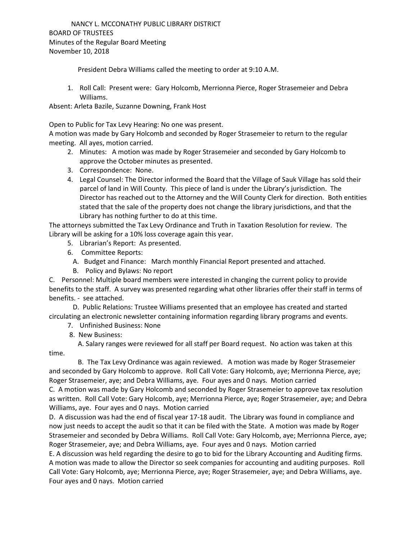President Debra Williams called the meeting to order at 9:10 A.M.

1. Roll Call: Present were: Gary Holcomb, Merrionna Pierce, Roger Strasemeier and Debra Williams.

Absent: Arleta Bazile, Suzanne Downing, Frank Host

Open to Public for Tax Levy Hearing: No one was present.

A motion was made by Gary Holcomb and seconded by Roger Strasemeier to return to the regular meeting. All ayes, motion carried.

- 2. Minutes: A motion was made by Roger Strasemeier and seconded by Gary Holcomb to approve the October minutes as presented.
- 3. Correspondence: None.
- 4. Legal Counsel: The Director informed the Board that the Village of Sauk Village has sold their parcel of land in Will County. This piece of land is under the Library's jurisdiction. The Director has reached out to the Attorney and the Will County Clerk for direction. Both entities stated that the sale of the property does not change the library jurisdictions, and that the Library has nothing further to do at this time.

The attorneys submitted the Tax Levy Ordinance and Truth in Taxation Resolution for review. The Library will be asking for a 10% loss coverage again this year.

- 5. Librarian's Report: As presented.
- 6. Committee Reports:
	- A. Budget and Finance: March monthly Financial Report presented and attached.
	- B. Policy and Bylaws: No report

C. Personnel: Multiple board members were interested in changing the current policy to provide benefits to the staff. A survey was presented regarding what other libraries offer their staff in terms of benefits. - see attached.

 D. Public Relations: Trustee Williams presented that an employee has created and started circulating an electronic newsletter containing information regarding library programs and events.

- 7. Unfinished Business: None
- 8. New Business:

 A. Salary ranges were reviewed for all staff per Board request. No action was taken at this time.

 B. The Tax Levy Ordinance was again reviewed. A motion was made by Roger Strasemeier and seconded by Gary Holcomb to approve. Roll Call Vote: Gary Holcomb, aye; Merrionna Pierce, aye; Roger Strasemeier, aye; and Debra Williams, aye. Four ayes and 0 nays. Motion carried C. A motion was made by Gary Holcomb and seconded by Roger Strasemeier to approve tax resolution as written. Roll Call Vote: Gary Holcomb, aye; Merrionna Pierce, aye; Roger Strasemeier, aye; and Debra

Williams, aye. Four ayes and 0 nays. Motion carried

D. A discussion was had the end of fiscal year 17-18 audit. The Library was found in compliance and now just needs to accept the audit so that it can be filed with the State. A motion was made by Roger Strasemeier and seconded by Debra Williams. Roll Call Vote: Gary Holcomb, aye; Merrionna Pierce, aye; Roger Strasemeier, aye; and Debra Williams, aye. Four ayes and 0 nays. Motion carried

E. A discussion was held regarding the desire to go to bid for the Library Accounting and Auditing firms. A motion was made to allow the Director so seek companies for accounting and auditing purposes. Roll Call Vote: Gary Holcomb, aye; Merrionna Pierce, aye; Roger Strasemeier, aye; and Debra Williams, aye. Four ayes and 0 nays. Motion carried